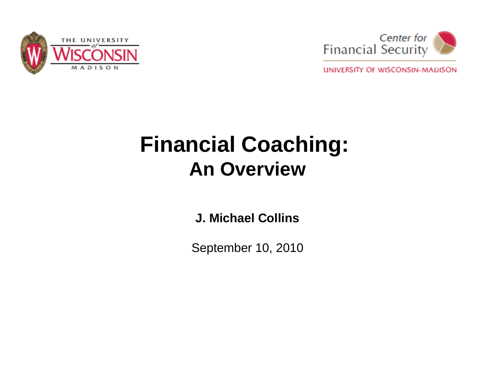



UNIVERSITY OF WISCONSIN-MADISON

## **Financial Coaching: An Overview**

**J. Michael Collins**

September 10, 2010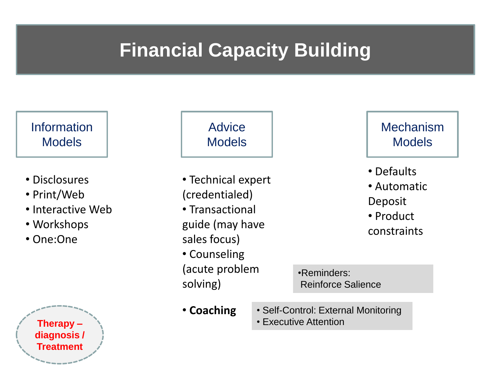### **Financial Capacity Building**



- Disclosures
- Print/Web
- Interactive Web
- Workshops
- One:One



### **Advice Models**

• Technical expert (credentialed) • Transactional guide (may have sales focus) • Counseling (acute problem solving)

#### **Mechanism Models**

- Defaults
- Automatic Deposit
- Product
- constraints

•Reminders: Reinforce Salience

- **Coaching**
- Self-Control: External Monitoring
- Executive Attention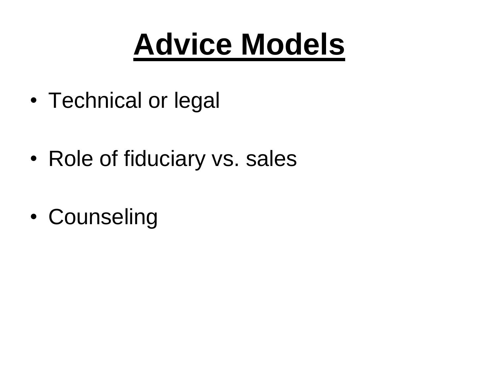# **Advice Models**

- Technical or legal
- Role of fiduciary vs. sales
- Counseling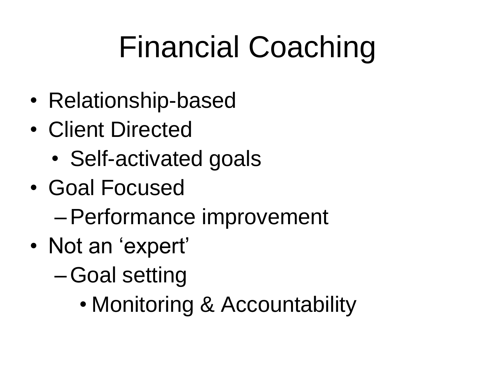# Financial Coaching

- Relationship-based
- Client Directed
	- Self-activated goals
- Goal Focused
	- –Performance improvement
- Not an 'expert'
	- –Goal setting
		- Monitoring & Accountability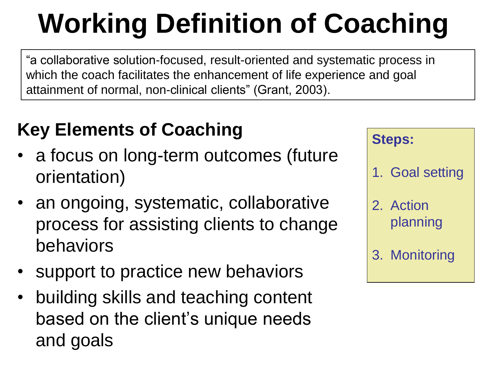# **Working Definition of Coaching**

"a collaborative solution-focused, result-oriented and systematic process in which the coach facilitates the enhancement of life experience and goal attainment of normal, non-clinical clients" (Grant, 2003).

### **Key Elements of Coaching**

- a focus on long-term outcomes (future orientation)
- an ongoing, systematic, collaborative process for assisting clients to change behaviors
- support to practice new behaviors
- building skills and teaching content based on the client's unique needs and goals

| <b>Steps:</b>         |
|-----------------------|
| 1. Goal setting       |
| 2. Action<br>planning |
| 3. Monitoring         |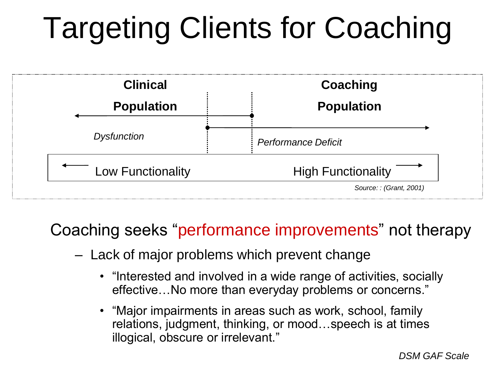# Targeting Clients for Coaching



### Coaching seeks "performance improvements" not therapy

- Lack of major problems which prevent change
	- "Interested and involved in a wide range of activities, socially effective…No more than everyday problems or concerns."
	- "Major impairments in areas such as work, school, family relations, judgment, thinking, or mood…speech is at times illogical, obscure or irrelevant."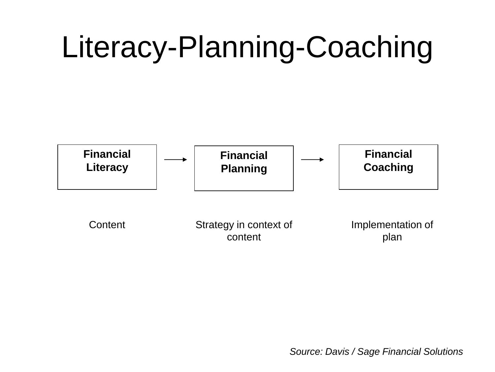# Literacy-Planning-Coaching



*Source: Davis / Sage Financial Solutions*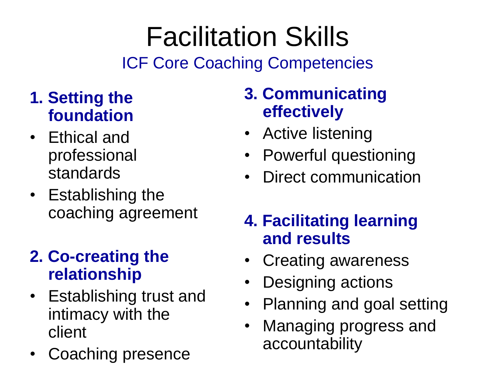# Facilitation Skills

ICF Core Coaching Competencies

### **1. Setting the foundation**

- Ethical and professional standards
- Establishing the coaching agreement

### **2. Co-creating the relationship**

- Establishing trust and intimacy with the client
- Coaching presence

### **3. Communicating effectively**

- Active listening
- Powerful questioning
- Direct communication

### **4. Facilitating learning and results**

- Creating awareness
- Designing actions
- Planning and goal setting
- Managing progress and accountability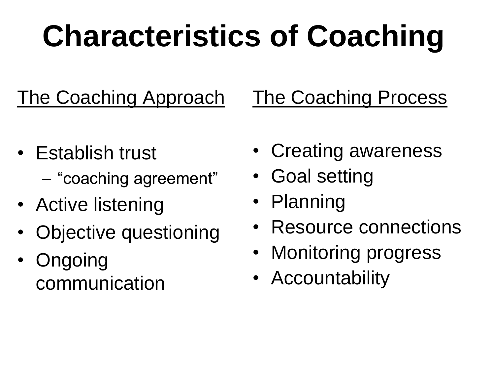# **Characteristics of Coaching**

The Coaching Approach The Coaching Process

- Establish trust – "coaching agreement"
- Active listening
- Objective questioning
- Ongoing communication
- Creating awareness
- Goal setting
- Planning
- Resource connections
- Monitoring progress
- Accountability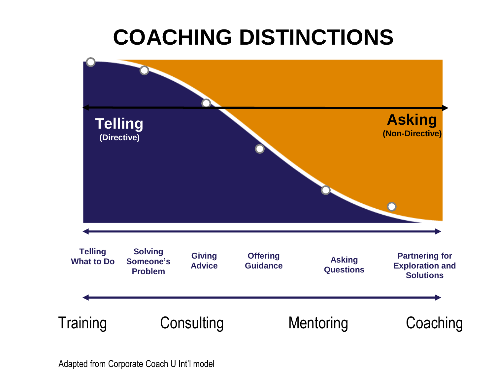## **COACHING DISTINCTIONS**

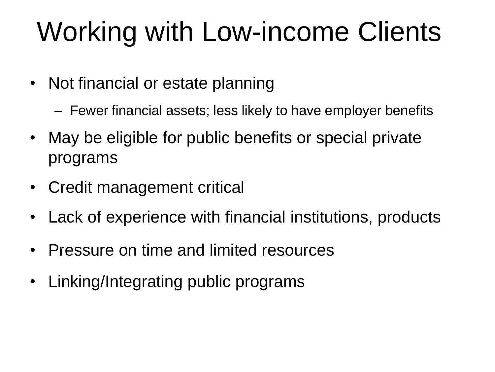# Working with Low-income Clients

- Not financial or estate planning
	- Fewer financial assets; less likely to have employer benefits
- May be eligible for public benefits or special private programs
- Credit management critical
- Lack of experience with financial institutions, products
- Pressure on time and limited resources
- Linking/Integrating public programs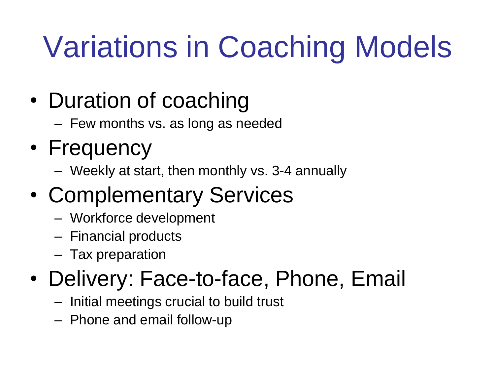# Variations in Coaching Models

## • Duration of coaching

– Few months vs. as long as needed

## • Frequency

– Weekly at start, then monthly vs. 3-4 annually

## • Complementary Services

- Workforce development
- Financial products
- Tax preparation

## • Delivery: Face-to-face, Phone, Email

- Initial meetings crucial to build trust
- Phone and email follow-up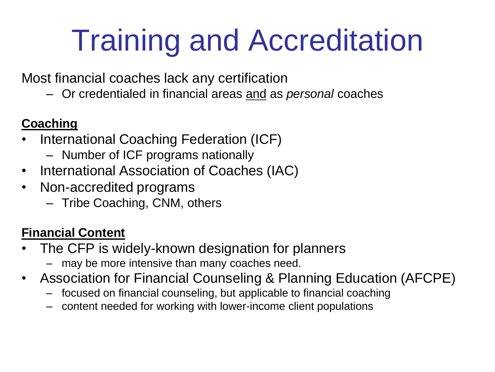# Training and Accreditation

Most financial coaches lack any certification

– Or credentialed in financial areas and as *personal* coaches

### **Coaching**

- International Coaching Federation (ICF)
	- Number of ICF programs nationally
- International Association of Coaches (IAC)
- Non-accredited programs
	- Tribe Coaching, CNM, others

### **Financial Content**

- The CFP is widely-known designation for planners
	- may be more intensive than many coaches need.
- Association for Financial Counseling & Planning Education (AFCPE)
	- focused on financial counseling, but applicable to financial coaching
	- content needed for working with lower-income client populations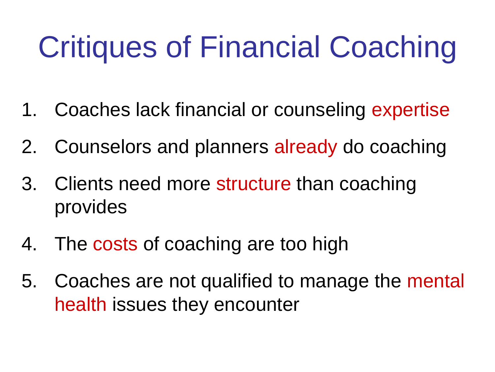# Critiques of Financial Coaching

- 1. Coaches lack financial or counseling expertise
- 2. Counselors and planners already do coaching
- 3. Clients need more structure than coaching provides
- 4. The costs of coaching are too high
- 5. Coaches are not qualified to manage the mental health issues they encounter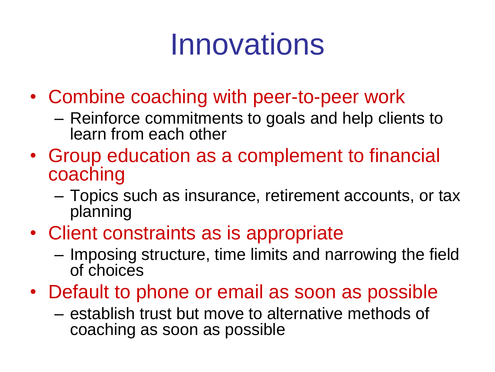# Innovations

- Combine coaching with peer-to-peer work
	- Reinforce commitments to goals and help clients to learn from each other
- Group education as a complement to financial coaching
	- Topics such as insurance, retirement accounts, or tax planning
- Client constraints as is appropriate
	- Imposing structure, time limits and narrowing the field of choices
- Default to phone or email as soon as possible
	- establish trust but move to alternative methods of coaching as soon as possible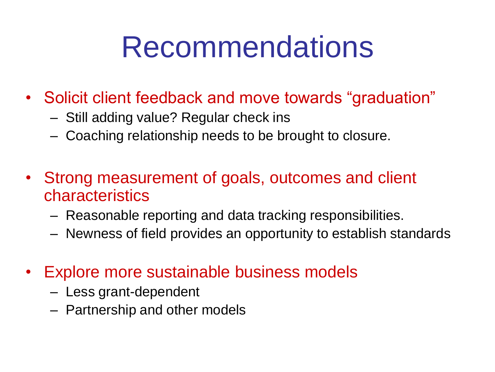# Recommendations

- Solicit client feedback and move towards "graduation"
	- Still adding value? Regular check ins
	- Coaching relationship needs to be brought to closure.
- Strong measurement of goals, outcomes and client characteristics
	- Reasonable reporting and data tracking responsibilities.
	- Newness of field provides an opportunity to establish standards
- Explore more sustainable business models
	- Less grant-dependent
	- Partnership and other models